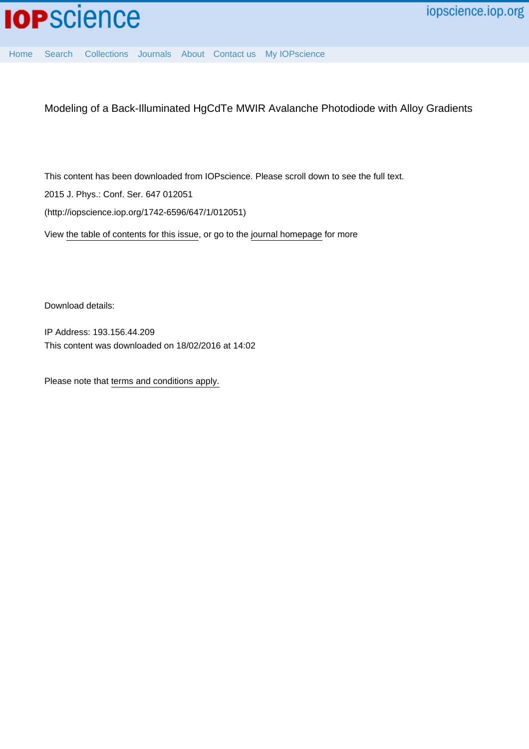

[Home](http://iopscience.iop.org/) [Search](http://iopscience.iop.org/search) [Collections](http://iopscience.iop.org/collections) [Journals](http://iopscience.iop.org/journals) [About](http://iopscience.iop.org/page/aboutioppublishing) [Contact us](http://iopscience.iop.org/contact) [My IOPscience](http://iopscience.iop.org/myiopscience)

Modeling of a Back-Illuminated HgCdTe MWIR Avalanche Photodiode with Alloy Gradients

This content has been downloaded from IOPscience. Please scroll down to see the full text.

2015 J. Phys.: Conf. Ser. 647 012051

(http://iopscience.iop.org/1742-6596/647/1/012051)

View [the table of contents for this issue](http://iopscience.iop.org/1742-6596/647/1), or go to the [journal homepage](http://iopscience.iop.org/1742-6596) for more

Download details:

IP Address: 193.156.44.209 This content was downloaded on 18/02/2016 at 14:02

Please note that [terms and conditions apply.](iopscience.iop.org/page/terms)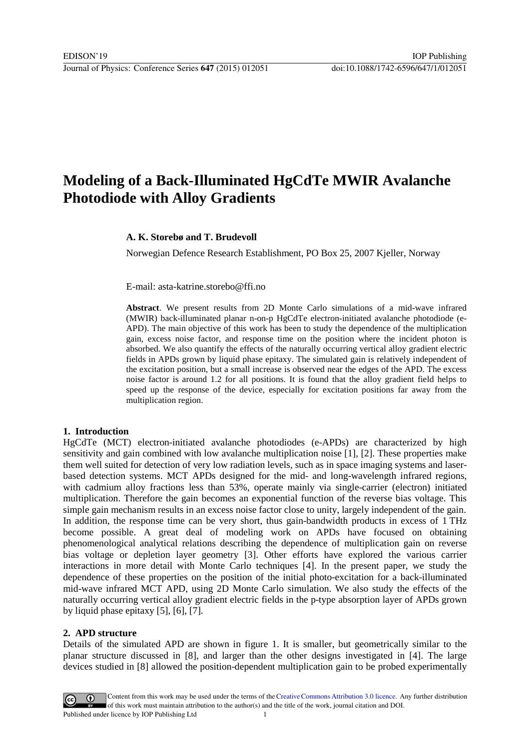# **Modeling of a Back-Illuminated HgCdTe MWIR Avalanche Photodiode with Alloy Gradients**

## **A. K. Storebø and T. Brudevoll**

Norwegian Defence Research Establishment, PO Box 25, 2007 Kjeller, Norway

E-mail: asta-katrine.storebo@ffi.no

**Abstract**. We present results from 2D Monte Carlo simulations of a mid-wave infrared (MWIR) back-illuminated planar n-on-p HgCdTe electron-initiated avalanche photodiode (e-APD). The main objective of this work has been to study the dependence of the multiplication gain, excess noise factor, and response time on the position where the incident photon is absorbed. We also quantify the effects of the naturally occurring vertical alloy gradient electric fields in APDs grown by liquid phase epitaxy. The simulated gain is relatively independent of the excitation position, but a small increase is observed near the edges of the APD. The excess noise factor is around 1.2 for all positions. It is found that the alloy gradient field helps to speed up the response of the device, especially for excitation positions far away from the multiplication region.

### **1. Introduction**

HgCdTe (MCT) electron-initiated avalanche photodiodes (e-APDs) are characterized by high sensitivity and gain combined with low avalanche multiplication noise [1], [2]. These properties make them well suited for detection of very low radiation levels, such as in space imaging systems and laserbased detection systems. MCT APDs designed for the mid- and long-wavelength infrared regions, with cadmium alloy fractions less than 53%, operate mainly via single-carrier (electron) initiated multiplication. Therefore the gain becomes an exponential function of the reverse bias voltage. This simple gain mechanism results in an excess noise factor close to unity, largely independent of the gain. In addition, the response time can be very short, thus gain-bandwidth products in excess of 1 THz become possible. A great deal of modeling work on APDs have focused on obtaining phenomenological analytical relations describing the dependence of multiplication gain on reverse bias voltage or depletion layer geometry [3]. Other efforts have explored the various carrier interactions in more detail with Monte Carlo techniques [4]. In the present paper, we study the dependence of these properties on the position of the initial photo-excitation for a back-illuminated mid-wave infrared MCT APD, using 2D Monte Carlo simulation. We also study the effects of the naturally occurring vertical alloy gradient electric fields in the p-type absorption layer of APDs grown by liquid phase epitaxy [5], [6], [7].

### **2. APD structure**

Details of the simulated APD are shown in figure 1. It is smaller, but geometrically similar to the planar structure discussed in [8], and larger than the other designs investigated in [4]. The large devices studied in [8] allowed the position-dependent multiplication gain to be probed experimentally

Content from this work may be used under the terms of theCreative Commons Attribution 3.0 licence. Any further distribution  $_{\rm (cc)}$ of this work must maintain attribution to the author(s) and the title of the work, journal citation and DOI. Published under licence by IOP Publishing Ltd 1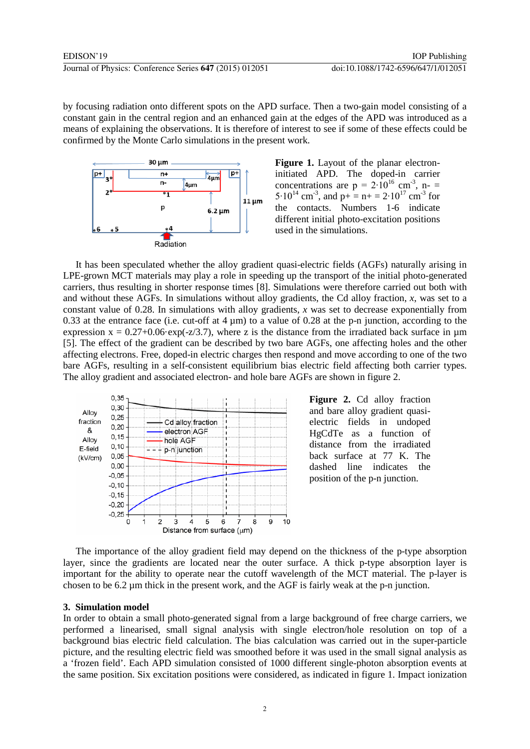by focusing radiation onto different spots on the APD surface. Then a two-gain model consisting of a constant gain in the central region and an enhanced gain at the edges of the APD was introduced as a means of explaining the observations. It is therefore of interest to see if some of these effects could be confirmed by the Monte Carlo simulations in the present work.



Figure 1. Layout of the planar electroninitiated APD. The doped-in carrier concentrations are  $p = 2.10^{16}$  cm<sup>-3</sup>, n- = 5⋅10<sup>14</sup> cm<sup>-3</sup>, and p+ = n+ = 2⋅10<sup>17</sup> cm<sup>-3</sup> for the contacts. Numbers 1-6 indicate different initial photo-excitation positions used in the simulations.

It has been speculated whether the alloy gradient quasi-electric fields (AGFs) naturally arising in LPE-grown MCT materials may play a role in speeding up the transport of the initial photo-generated carriers, thus resulting in shorter response times [8]. Simulations were therefore carried out both with and without these AGFs. In simulations without alloy gradients, the Cd alloy fraction, *x*, was set to a constant value of 0.28. In simulations with alloy gradients, *x* was set to decrease exponentially from 0.33 at the entrance face (i.e. cut-off at  $4 \mu m$ ) to a value of 0.28 at the p-n junction, according to the expression  $x = 0.27+0.06$ ·exp(-z/3.7), where z is the distance from the irradiated back surface in  $\mu$ m [5]. The effect of the gradient can be described by two bare AGFs, one affecting holes and the other affecting electrons. Free, doped-in electric charges then respond and move according to one of the two bare AGFs, resulting in a self-consistent equilibrium bias electric field affecting both carrier types. The alloy gradient and associated electron- and hole bare AGFs are shown in figure 2.



Figure 2. Cd alloy fraction and bare alloy gradient quasielectric fields in undoped HgCdTe as a function of distance from the irradiated back surface at 77 K. The dashed line indicates the position of the p-n junction.

The importance of the alloy gradient field may depend on the thickness of the p-type absorption layer, since the gradients are located near the outer surface. A thick p-type absorption layer is important for the ability to operate near the cutoff wavelength of the MCT material. The p-layer is chosen to be  $6.2 \mu$ m thick in the present work, and the AGF is fairly weak at the p-n junction.

### **3. Simulation model**

In order to obtain a small photo-generated signal from a large background of free charge carriers, we performed a linearised, small signal analysis with single electron/hole resolution on top of a background bias electric field calculation. The bias calculation was carried out in the super-particle picture, and the resulting electric field was smoothed before it was used in the small signal analysis as a 'frozen field'. Each APD simulation consisted of 1000 different single-photon absorption events at the same position. Six excitation positions were considered, as indicated in figure 1. Impact ionization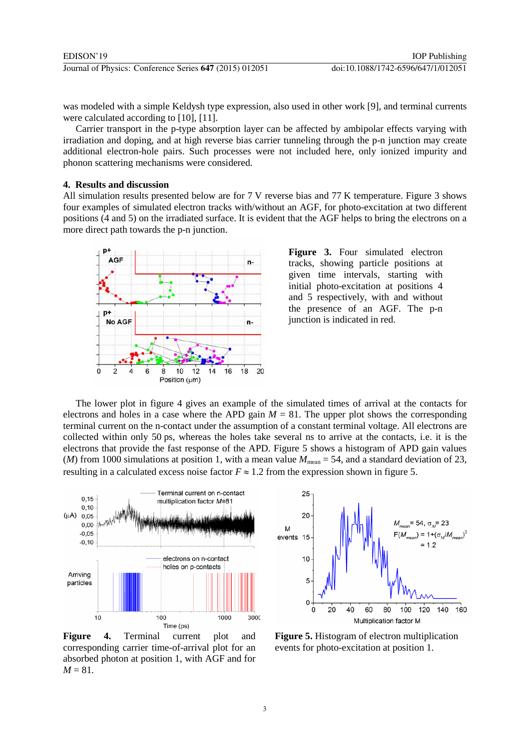was modeled with a simple Keldysh type expression, also used in other work [9], and terminal currents were calculated according to [10], [11].

Carrier transport in the p-type absorption layer can be affected by ambipolar effects varying with irradiation and doping, and at high reverse bias carrier tunneling through the p-n junction may create additional electron-hole pairs. Such processes were not included here, only ionized impurity and phonon scattering mechanisms were considered.

#### **4. Results and discussion**

All simulation results presented below are for 7 V reverse bias and 77 K temperature. Figure 3 shows four examples of simulated electron tracks with/without an AGF, for photo-excitation at two different positions (4 and 5) on the irradiated surface. It is evident that the AGF helps to bring the electrons on a more direct path towards the p-n junction.



Figure 3. Four simulated electron tracks, showing particle positions at given time intervals, starting with initial photo-excitation at positions 4 and 5 respectively, with and without the presence of an AGF. The p-n junction is indicated in red.

The lower plot in figure 4 gives an example of the simulated times of arrival at the contacts for electrons and holes in a case where the APD gain  $M = 81$ . The upper plot shows the corresponding terminal current on the n-contact under the assumption of a constant terminal voltage. All electrons are collected within only 50 ps, whereas the holes take several ns to arrive at the contacts, i.e. it is the electrons that provide the fast response of the APD. Figure 5 shows a histogram of APD gain values (*M*) from 1000 simulations at position 1, with a mean value  $M_{\text{mean}} = 54$ , and a standard deviation of 23, resulting in a calculated excess noise factor  $F \approx 1.2$  from the expression shown in figure 5.



Figure 4. Terminal current plot and corresponding carrier time-of-arrival plot for an absorbed photon at position 1, with AGF and for  $M = 81$ .



**Figure 5.** Histogram of electron multiplication events for photo-excitation at position 1.